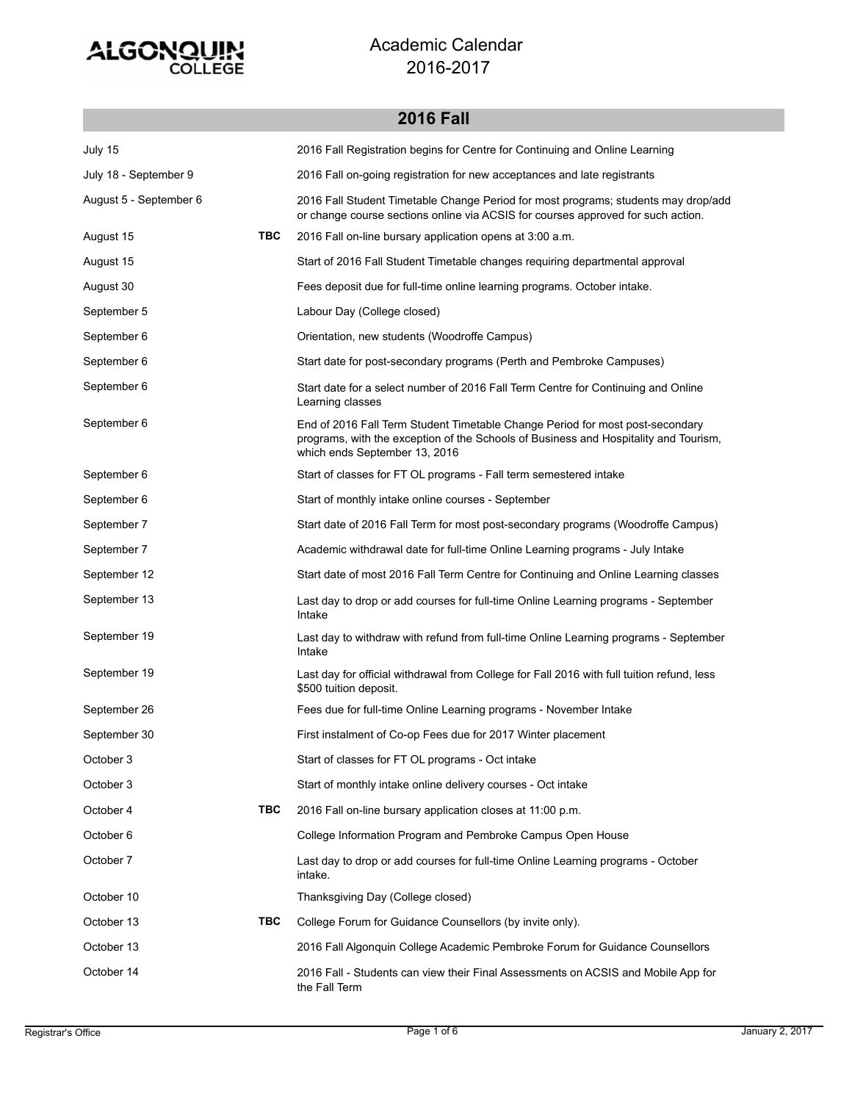

**2016 Fall**

## July 15 2016 Fall Registration begins for Centre for Continuing and Online Learning July 18 - September 9 2016 Fall on-going registration for new acceptances and late registrants 2016 Fall Student Timetable Change Period for most programs; students may drop/add or change course sections online via ACSIS for courses approved for such action. August 5 - September 6 August 15 **TBC** 2016 Fall on-line bursary application opens at 3:00 a.m. August 15 Start of 2016 Fall Student Timetable changes requiring departmental approval August 30 Fees deposit due for full-time online learning programs. October intake. September 5 Labour Day (College closed) September 6 **Orientation**, new students (Woodroffe Campus) September 6 Start date for post-secondary programs (Perth and Pembroke Campuses) Start date for a select number of 2016 Fall Term Centre for Continuing and Online Learning classes September 6 End of 2016 Fall Term Student Timetable Change Period for most post-secondary programs, with the exception of the Schools of Business and Hospitality and Tourism, which ends September 13, 2016 September 6 September 6 Start of classes for FT OL programs - Fall term semestered intake September 6 Start of monthly intake online courses - September September 7 Start date of 2016 Fall Term for most post-secondary programs (Woodroffe Campus) September 7 **Academic withdrawal date for full-time Online Learning programs - July Intake** September 12 Start date of most 2016 Fall Term Centre for Continuing and Online Learning classes Last day to drop or add courses for full-time Online Learning programs - September Intake September 13 Last day to withdraw with refund from full-time Online Learning programs - September Intake September 19 Last day for official withdrawal from College for Fall 2016 with full tuition refund, less \$500 tuition deposit. September 19 September 26 Fees due for full-time Online Learning programs - November Intake September 30 First instalment of Co-op Fees due for 2017 Winter placement October 3 Start of classes for FT OL programs - Oct intake October 3 Start of monthly intake online delivery courses - Oct intake October 4 **TBC** 2016 Fall on-line bursary application closes at 11:00 p.m. October 6 College Information Program and Pembroke Campus Open House Last day to drop or add courses for full-time Online Learning programs - October intake. October 7 October 10 Thanksgiving Day (College closed) October 13 **TBC** College Forum for Guidance Counsellors (by invite only). October 13 2016 Fall Algonquin College Academic Pembroke Forum for Guidance Counsellors 2016 Fall - Students can view their Final Assessments on ACSIS and Mobile App for the Fall Term October 14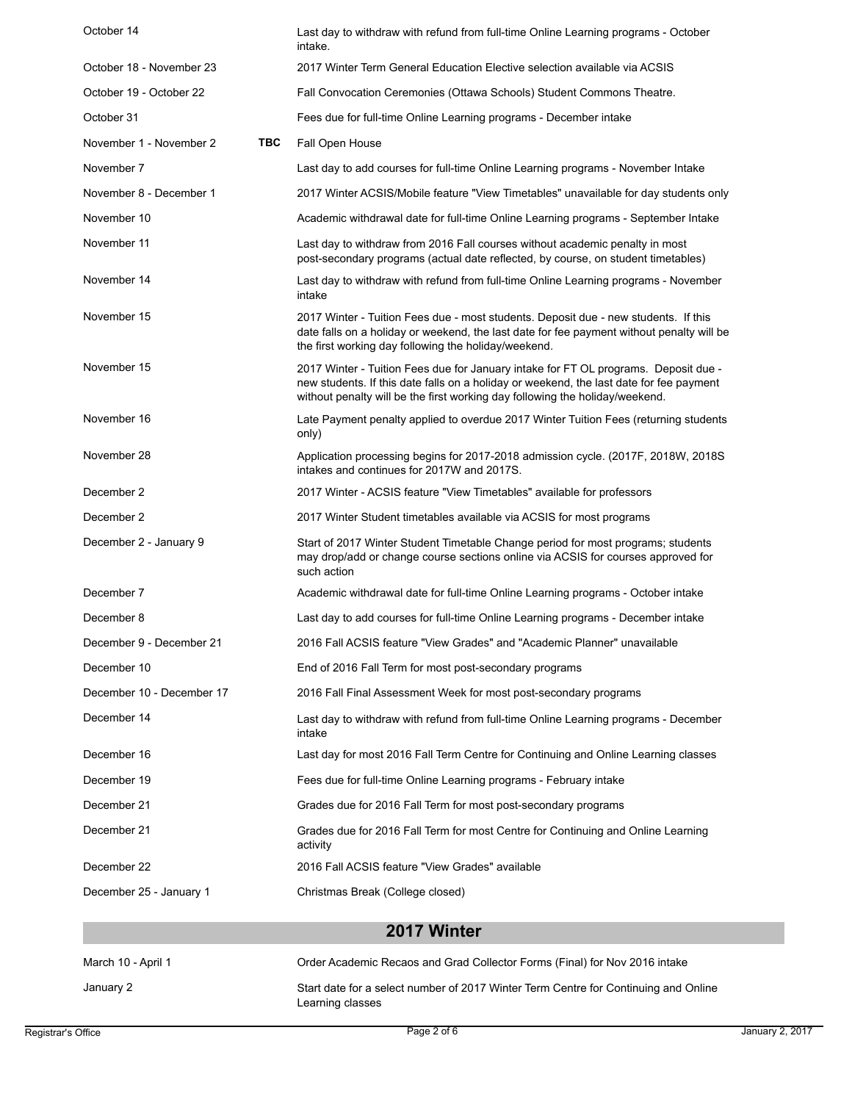| March 10 - April 1        |     | Order Academic Recaos and Grad Collector Forms (Final) for Nov 2016 intake                                                                                                                                                                                     |
|---------------------------|-----|----------------------------------------------------------------------------------------------------------------------------------------------------------------------------------------------------------------------------------------------------------------|
|                           |     | 2017 Winter                                                                                                                                                                                                                                                    |
| December 25 - January 1   |     | Christmas Break (College closed)                                                                                                                                                                                                                               |
| December 22               |     | 2016 Fall ACSIS feature "View Grades" available                                                                                                                                                                                                                |
| December 21               |     | Grades due for 2016 Fall Term for most Centre for Continuing and Online Learning<br>activity                                                                                                                                                                   |
| December 21               |     | Grades due for 2016 Fall Term for most post-secondary programs                                                                                                                                                                                                 |
| December 19               |     | Fees due for full-time Online Learning programs - February intake                                                                                                                                                                                              |
| December 16               |     | Last day for most 2016 Fall Term Centre for Continuing and Online Learning classes                                                                                                                                                                             |
| December 14               |     | Last day to withdraw with refund from full-time Online Learning programs - December<br>intake                                                                                                                                                                  |
| December 10 - December 17 |     | 2016 Fall Final Assessment Week for most post-secondary programs                                                                                                                                                                                               |
| December 10               |     | End of 2016 Fall Term for most post-secondary programs                                                                                                                                                                                                         |
| December 9 - December 21  |     | 2016 Fall ACSIS feature "View Grades" and "Academic Planner" unavailable                                                                                                                                                                                       |
| December 8                |     | Last day to add courses for full-time Online Learning programs - December intake                                                                                                                                                                               |
| December 7                |     | Academic withdrawal date for full-time Online Learning programs - October intake                                                                                                                                                                               |
| December 2 - January 9    |     | Start of 2017 Winter Student Timetable Change period for most programs; students<br>may drop/add or change course sections online via ACSIS for courses approved for<br>such action                                                                            |
| December 2                |     | 2017 Winter Student timetables available via ACSIS for most programs                                                                                                                                                                                           |
| December 2                |     | 2017 Winter - ACSIS feature "View Timetables" available for professors                                                                                                                                                                                         |
| November 28               |     | Application processing begins for 2017-2018 admission cycle. (2017F, 2018W, 2018S)<br>intakes and continues for 2017W and 2017S.                                                                                                                               |
| November 16               |     | Late Payment penalty applied to overdue 2017 Winter Tuition Fees (returning students<br>only)                                                                                                                                                                  |
| November 15               |     | 2017 Winter - Tuition Fees due for January intake for FT OL programs. Deposit due -<br>new students. If this date falls on a holiday or weekend, the last date for fee payment<br>without penalty will be the first working day following the holiday/weekend. |
| November 15               |     | 2017 Winter - Tuition Fees due - most students. Deposit due - new students. If this<br>date falls on a holiday or weekend, the last date for fee payment without penalty will be<br>the first working day following the holiday/weekend.                       |
| November 14               |     | Last day to withdraw with refund from full-time Online Learning programs - November<br>intake                                                                                                                                                                  |
| November 11               |     | Last day to withdraw from 2016 Fall courses without academic penalty in most<br>post-secondary programs (actual date reflected, by course, on student timetables)                                                                                              |
| November 10               |     | Academic withdrawal date for full-time Online Learning programs - September Intake                                                                                                                                                                             |
| November 8 - December 1   |     | 2017 Winter ACSIS/Mobile feature "View Timetables" unavailable for day students only                                                                                                                                                                           |
| November 7                |     | Last day to add courses for full-time Online Learning programs - November Intake                                                                                                                                                                               |
| November 1 - November 2   | TBC | Fall Open House                                                                                                                                                                                                                                                |
| October 31                |     | Fees due for full-time Online Learning programs - December intake                                                                                                                                                                                              |
| October 19 - October 22   |     | Fall Convocation Ceremonies (Ottawa Schools) Student Commons Theatre.                                                                                                                                                                                          |
| October 18 - November 23  |     | intake.<br>2017 Winter Term General Education Elective selection available via ACSIS                                                                                                                                                                           |
| October 14                |     | Last day to withdraw with refund from full-time Online Learning programs - October                                                                                                                                                                             |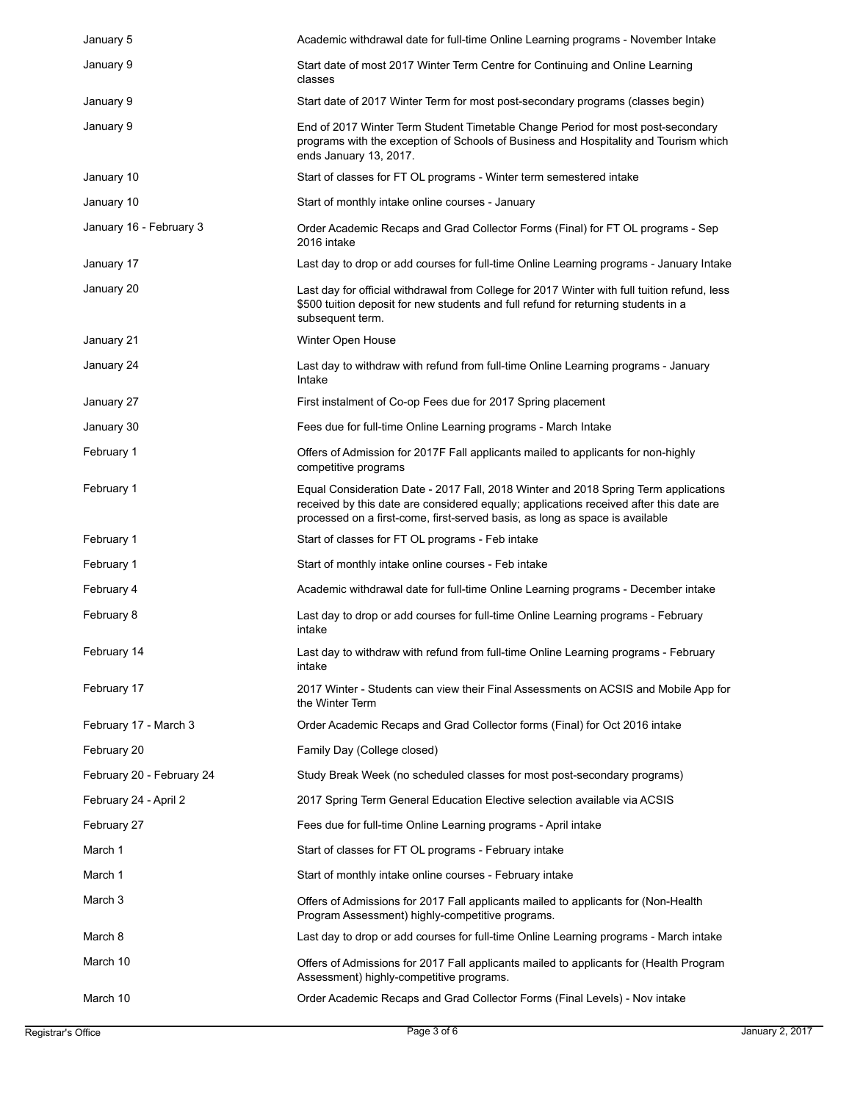| January 5                 | Academic withdrawal date for full-time Online Learning programs - November Intake                                                                                                                                                                              |
|---------------------------|----------------------------------------------------------------------------------------------------------------------------------------------------------------------------------------------------------------------------------------------------------------|
| January 9                 | Start date of most 2017 Winter Term Centre for Continuing and Online Learning<br>classes                                                                                                                                                                       |
| January 9                 | Start date of 2017 Winter Term for most post-secondary programs (classes begin)                                                                                                                                                                                |
| January 9                 | End of 2017 Winter Term Student Timetable Change Period for most post-secondary<br>programs with the exception of Schools of Business and Hospitality and Tourism which<br>ends January 13, 2017.                                                              |
| January 10                | Start of classes for FT OL programs - Winter term semestered intake                                                                                                                                                                                            |
| January 10                | Start of monthly intake online courses - January                                                                                                                                                                                                               |
| January 16 - February 3   | Order Academic Recaps and Grad Collector Forms (Final) for FT OL programs - Sep<br>2016 intake                                                                                                                                                                 |
| January 17                | Last day to drop or add courses for full-time Online Learning programs - January Intake                                                                                                                                                                        |
| January 20                | Last day for official withdrawal from College for 2017 Winter with full tuition refund, less<br>\$500 tuition deposit for new students and full refund for returning students in a<br>subsequent term.                                                         |
| January 21                | Winter Open House                                                                                                                                                                                                                                              |
| January 24                | Last day to withdraw with refund from full-time Online Learning programs - January<br>Intake                                                                                                                                                                   |
| January 27                | First instalment of Co-op Fees due for 2017 Spring placement                                                                                                                                                                                                   |
| January 30                | Fees due for full-time Online Learning programs - March Intake                                                                                                                                                                                                 |
| February 1                | Offers of Admission for 2017F Fall applicants mailed to applicants for non-highly<br>competitive programs                                                                                                                                                      |
| February 1                | Equal Consideration Date - 2017 Fall, 2018 Winter and 2018 Spring Term applications<br>received by this date are considered equally; applications received after this date are<br>processed on a first-come, first-served basis, as long as space is available |
| February 1                | Start of classes for FT OL programs - Feb intake                                                                                                                                                                                                               |
|                           |                                                                                                                                                                                                                                                                |
| February 1                | Start of monthly intake online courses - Feb intake                                                                                                                                                                                                            |
| February 4                | Academic withdrawal date for full-time Online Learning programs - December intake                                                                                                                                                                              |
| February 8                | Last day to drop or add courses for full-time Online Learning programs - February<br>intake                                                                                                                                                                    |
| February 14               | Last day to withdraw with refund from full-time Online Learning programs - February<br>intake                                                                                                                                                                  |
| February 17               | 2017 Winter - Students can view their Final Assessments on ACSIS and Mobile App for<br>the Winter Term                                                                                                                                                         |
| February 17 - March 3     | Order Academic Recaps and Grad Collector forms (Final) for Oct 2016 intake                                                                                                                                                                                     |
| February 20               | Family Day (College closed)                                                                                                                                                                                                                                    |
| February 20 - February 24 | Study Break Week (no scheduled classes for most post-secondary programs)                                                                                                                                                                                       |
| February 24 - April 2     | 2017 Spring Term General Education Elective selection available via ACSIS                                                                                                                                                                                      |
| February 27               | Fees due for full-time Online Learning programs - April intake                                                                                                                                                                                                 |
| March 1                   | Start of classes for FT OL programs - February intake                                                                                                                                                                                                          |
| March 1                   | Start of monthly intake online courses - February intake                                                                                                                                                                                                       |
| March 3                   | Offers of Admissions for 2017 Fall applicants mailed to applicants for (Non-Health<br>Program Assessment) highly-competitive programs.                                                                                                                         |
| March 8                   | Last day to drop or add courses for full-time Online Learning programs - March intake                                                                                                                                                                          |
| March 10                  | Offers of Admissions for 2017 Fall applicants mailed to applicants for (Health Program<br>Assessment) highly-competitive programs.                                                                                                                             |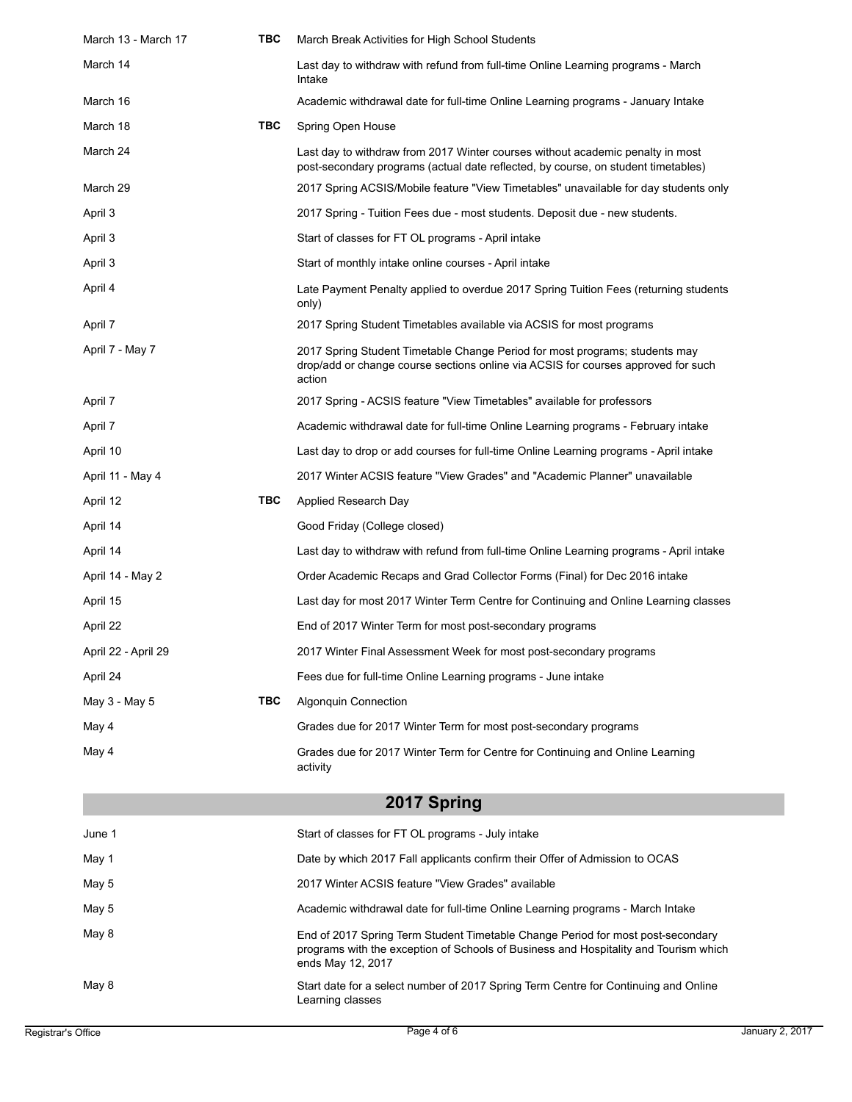| March 13 - March 17 | ТВС | March Break Activities for High School Students                                                                                                                                              |
|---------------------|-----|----------------------------------------------------------------------------------------------------------------------------------------------------------------------------------------------|
| March 14            |     | Last day to withdraw with refund from full-time Online Learning programs - March<br>Intake                                                                                                   |
| March 16            |     | Academic withdrawal date for full-time Online Learning programs - January Intake                                                                                                             |
| March 18            | TBC | Spring Open House                                                                                                                                                                            |
| March 24            |     | Last day to withdraw from 2017 Winter courses without academic penalty in most<br>post-secondary programs (actual date reflected, by course, on student timetables)                          |
| March 29            |     | 2017 Spring ACSIS/Mobile feature "View Timetables" unavailable for day students only                                                                                                         |
| April 3             |     | 2017 Spring - Tuition Fees due - most students. Deposit due - new students.                                                                                                                  |
| April 3             |     | Start of classes for FT OL programs - April intake                                                                                                                                           |
| April 3             |     | Start of monthly intake online courses - April intake                                                                                                                                        |
| April 4             |     | Late Payment Penalty applied to overdue 2017 Spring Tuition Fees (returning students<br>only)                                                                                                |
| April 7             |     | 2017 Spring Student Timetables available via ACSIS for most programs                                                                                                                         |
| April 7 - May 7     |     | 2017 Spring Student Timetable Change Period for most programs; students may<br>drop/add or change course sections online via ACSIS for courses approved for such<br>action                   |
| April 7             |     | 2017 Spring - ACSIS feature "View Timetables" available for professors                                                                                                                       |
| April 7             |     | Academic withdrawal date for full-time Online Learning programs - February intake                                                                                                            |
| April 10            |     | Last day to drop or add courses for full-time Online Learning programs - April intake                                                                                                        |
| April 11 - May 4    |     | 2017 Winter ACSIS feature "View Grades" and "Academic Planner" unavailable                                                                                                                   |
| April 12            | ТВС | Applied Research Day                                                                                                                                                                         |
| April 14            |     | Good Friday (College closed)                                                                                                                                                                 |
| April 14            |     | Last day to withdraw with refund from full-time Online Learning programs - April intake                                                                                                      |
| April 14 - May 2    |     | Order Academic Recaps and Grad Collector Forms (Final) for Dec 2016 intake                                                                                                                   |
| April 15            |     | Last day for most 2017 Winter Term Centre for Continuing and Online Learning classes                                                                                                         |
| April 22            |     | End of 2017 Winter Term for most post-secondary programs                                                                                                                                     |
| April 22 - April 29 |     | 2017 Winter Final Assessment Week for most post-secondary programs                                                                                                                           |
| April 24            |     | Fees due for full-time Online Learning programs - June intake                                                                                                                                |
| May 3 - May 5       | ТВС | <b>Algonquin Connection</b>                                                                                                                                                                  |
| May 4               |     | Grades due for 2017 Winter Term for most post-secondary programs                                                                                                                             |
| May 4               |     | Grades due for 2017 Winter Term for Centre for Continuing and Online Learning<br>activity                                                                                                    |
|                     |     | 2017 Spring                                                                                                                                                                                  |
| June 1              |     | Start of classes for FT OL programs - July intake                                                                                                                                            |
| May 1               |     | Date by which 2017 Fall applicants confirm their Offer of Admission to OCAS                                                                                                                  |
| May 5               |     | 2017 Winter ACSIS feature "View Grades" available                                                                                                                                            |
| May 5               |     | Academic withdrawal date for full-time Online Learning programs - March Intake                                                                                                               |
| May 8               |     | End of 2017 Spring Term Student Timetable Change Period for most post-secondary<br>programs with the exception of Schools of Business and Hospitality and Tourism which<br>ends May 12, 2017 |
| May 8               |     | Start date for a select number of 2017 Spring Term Centre for Continuing and Online<br>Learning classes                                                                                      |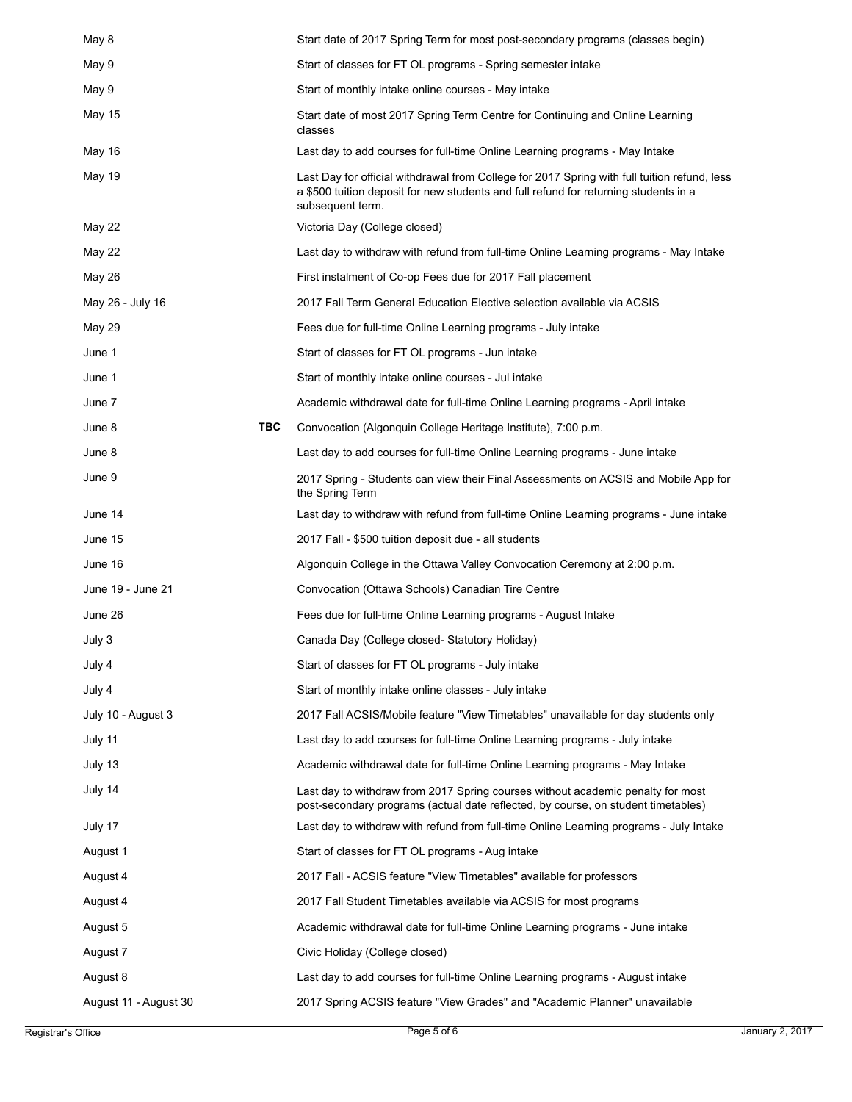| May 8                 |     | Start date of 2017 Spring Term for most post-secondary programs (classes begin)                                                                                                                          |
|-----------------------|-----|----------------------------------------------------------------------------------------------------------------------------------------------------------------------------------------------------------|
| May 9                 |     | Start of classes for FT OL programs - Spring semester intake                                                                                                                                             |
| May 9                 |     | Start of monthly intake online courses - May intake                                                                                                                                                      |
| May 15                |     | Start date of most 2017 Spring Term Centre for Continuing and Online Learning<br>classes                                                                                                                 |
| May 16                |     | Last day to add courses for full-time Online Learning programs - May Intake                                                                                                                              |
| May 19                |     | Last Day for official withdrawal from College for 2017 Spring with full tuition refund, less<br>a \$500 tuition deposit for new students and full refund for returning students in a<br>subsequent term. |
| May 22                |     | Victoria Day (College closed)                                                                                                                                                                            |
| May 22                |     | Last day to withdraw with refund from full-time Online Learning programs - May Intake                                                                                                                    |
| May 26                |     | First instalment of Co-op Fees due for 2017 Fall placement                                                                                                                                               |
| May 26 - July 16      |     | 2017 Fall Term General Education Elective selection available via ACSIS                                                                                                                                  |
| May 29                |     | Fees due for full-time Online Learning programs - July intake                                                                                                                                            |
| June 1                |     | Start of classes for FT OL programs - Jun intake                                                                                                                                                         |
| June 1                |     | Start of monthly intake online courses - Jul intake                                                                                                                                                      |
| June 7                |     | Academic withdrawal date for full-time Online Learning programs - April intake                                                                                                                           |
| June 8                | ТВС | Convocation (Algonquin College Heritage Institute), 7:00 p.m.                                                                                                                                            |
| June 8                |     | Last day to add courses for full-time Online Learning programs - June intake                                                                                                                             |
| June 9                |     | 2017 Spring - Students can view their Final Assessments on ACSIS and Mobile App for<br>the Spring Term                                                                                                   |
| June 14               |     | Last day to withdraw with refund from full-time Online Learning programs - June intake                                                                                                                   |
| June 15               |     | 2017 Fall - \$500 tuition deposit due - all students                                                                                                                                                     |
| June 16               |     | Algonquin College in the Ottawa Valley Convocation Ceremony at 2:00 p.m.                                                                                                                                 |
| June 19 - June 21     |     | Convocation (Ottawa Schools) Canadian Tire Centre                                                                                                                                                        |
| June 26               |     | Fees due for full-time Online Learning programs - August Intake                                                                                                                                          |
| July 3                |     | Canada Day (College closed-Statutory Holiday)                                                                                                                                                            |
| July 4                |     | Start of classes for FT OL programs - July intake                                                                                                                                                        |
| July 4                |     | Start of monthly intake online classes - July intake                                                                                                                                                     |
| July 10 - August 3    |     | 2017 Fall ACSIS/Mobile feature "View Timetables" unavailable for day students only                                                                                                                       |
| July 11               |     | Last day to add courses for full-time Online Learning programs - July intake                                                                                                                             |
| July 13               |     | Academic withdrawal date for full-time Online Learning programs - May Intake                                                                                                                             |
| July 14               |     | Last day to withdraw from 2017 Spring courses without academic penalty for most<br>post-secondary programs (actual date reflected, by course, on student timetables)                                     |
| July 17               |     | Last day to withdraw with refund from full-time Online Learning programs - July Intake                                                                                                                   |
| August 1              |     | Start of classes for FT OL programs - Aug intake                                                                                                                                                         |
| August 4              |     | 2017 Fall - ACSIS feature "View Timetables" available for professors                                                                                                                                     |
| August 4              |     | 2017 Fall Student Timetables available via ACSIS for most programs                                                                                                                                       |
| August 5              |     | Academic withdrawal date for full-time Online Learning programs - June intake                                                                                                                            |
| August 7              |     | Civic Holiday (College closed)                                                                                                                                                                           |
| August 8              |     | Last day to add courses for full-time Online Learning programs - August intake                                                                                                                           |
| August 11 - August 30 |     | 2017 Spring ACSIS feature "View Grades" and "Academic Planner" unavailable                                                                                                                               |